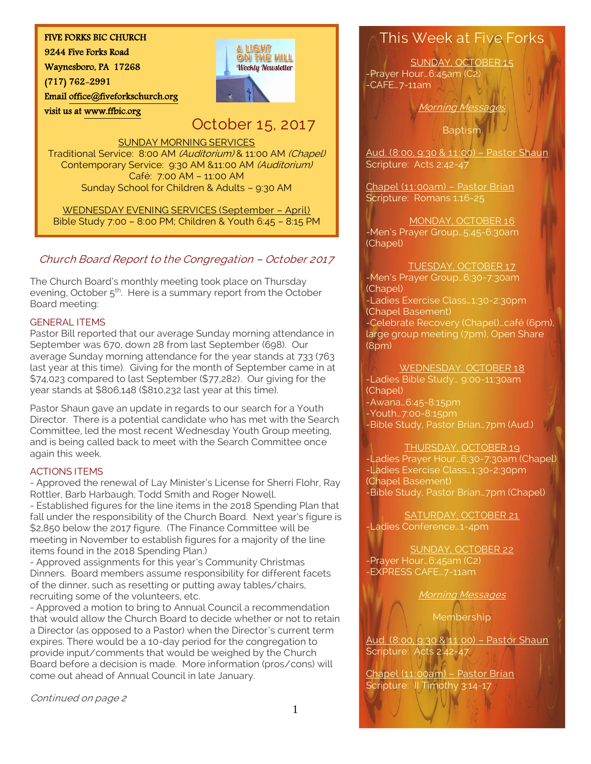### FIVE FORKS BIC CHURCH

9244 Five Forks Road

Waynesboro, PA 17268

(717) 762-2991

visit us at [www.ffbic.org](http://www.ffbic.org/) 

Emai[l office@fiveforkschurch.org](mailto:office@fiveforkschurch.org) 

# **A LIGHT** ON THE HILL **Weekly Newsletter**

# October 15, 2017

#### SUNDAY MORNING SERVICES

Traditional Service: 8:00 AM (Auditorium) & 11:00 AM (Chapel) Contemporary Service: 9:30 AM &11:00 AM (Auditorium) Café: 7:00 AM – 11:00 AM Sunday School for Children & Adults – 9:30 AM

WEDNESDAY EVENING SERVICES (September – April) Bible Study 7:00 – 8:00 PM; Children & Youth 6:45 – 8:15 PM

### Church Board Report to the Congregation – October 2017

The Church Board's monthly meeting took place on Thursday evening, October 5<sup>th</sup>. Here is a summary report from the October Board meeting:

#### GENERAL ITEMS

Pastor Bill reported that our average Sunday morning attendance in September was 670, down 28 from last September (698). Our average Sunday morning attendance for the year stands at 733 (763 last year at this time). Giving for the month of September came in at \$74,023 compared to last September (\$77,282). Our giving for the year stands at \$806,148 (\$810,232 last year at this time).

 and is being called back to meet with the Search Committee once Pastor Shaun gave an update in regards to our search for a Youth Director. There is a potential candidate who has met with the Search Committee, led the most recent Wednesday Youth Group meeting, again this week.

### ACTIONS ITEMS

- Approved the renewal of Lay Minister's License for Sherri Flohr, Ray Rottler, Barb Harbaugh, Todd Smith and Roger Nowell.

- Established figures for the line items in the 2018 Spending Plan that fall under the responsibility of the Church Board. Next year's figure is \$2,850 below the 2017 figure. (The Finance Committee will be meeting in November to establish figures for a majority of the line items found in the 2018 Spending Plan.)

- Approved assignments for this year's Community Christmas Dinners. Board members assume responsibility for different facets of the dinner, such as resetting or putting away tables/chairs, recruiting some of the volunteers, etc.

- Approved a motion to bring to Annual Council a recommendation that would allow the Church Board to decide whether or not to retain a Director (as opposed to a Pastor) when the Director's current term expires. There would be a 10-day period for the congregation to provide input/comments that would be weighed by the Church Board before a decision is made. More information (pros/cons) will come out ahead of Annual Council in late January.

Continued on page 2

## This Week at Five Forks

SUNDAY, OCTOBER 15 -Prayer Hour…6:45am (C2) -CAFE…7-11am

**Morning Message** 

**Baptism** 

Aud. (8:00, 9:30 & 11:00) – Pastor Shaun Scripture: Acts 2:42-47

Chapel (11:00am) – Pastor Brian Scripture: Romans 1:16-25

MONDAY, OCTOBER 16 -Men's Prayer Group…5:45-6:30am (Chapel)

#### TUESDAY, OCTOBER 17

-Men's Prayer Group…6:30-7:30am (Chapel) -Ladies Exercise Class…1:30-2:30pm (Chapel Basement) -Celebrate Recovery (Chapel)…café (6pm), large group meeting (7pm), Open Share (8pm)

WEDNESDAY, OCTOBER 18 -Ladies Bible Study… 9:00-11:30am

(Chapel) -Awana…6:45-8:15pm -Youth…7:00-8:15pm -Bible Study, Pastor Brian…7pm (Aud.)

### THURSDAY, OCTOBER 19

-Ladies Prayer Hour…6:30-7:30am (Chapel) -Ladies Exercise Class…1:30-2:30pm (Chapel Basement) -Bible Study, Pastor Brian…7pm (Chapel)

SATURDAY, OCTOBER 21 -Ladies Conference…1-4pm

SUNDAY, OCTOBER 22 -Prayer Hour…6:45am (C2) -EXPRESS CAFE…7-11am

Morning Messages

Membership

Aud. (8:00, 9:30 & 11:00) – Pastor Shaun Scripture: Acts 2:42-47

Chapel (11:00am) – Pastor Brian Scripture: II Timothy 3:14-17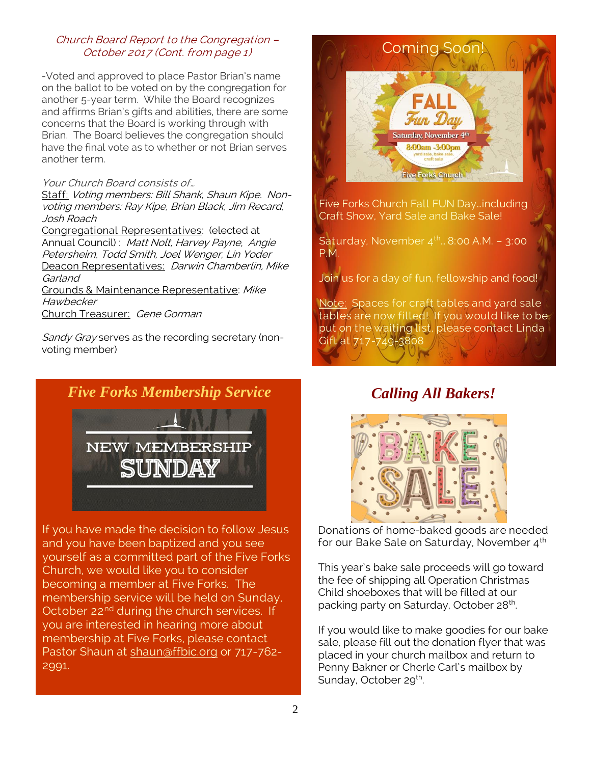### Church Board Report to the Congregation – October 2017 (Cont. from page 1)

-Voted and approved to place Pastor Brian's name on the ballot to be voted on by the congregation for another 5-year term. While the Board recognizes and affirms Brian's gifts and abilities, there are some concerns that the Board is working through with Brian. The Board believes the congregation should have the final vote as to whether or not Brian serves another term.

#### Your Church Board consists of…

Staff: Voting members: Bill Shank, Shaun Kipe. Nonvoting members: Ray Kipe, Brian Black, Jim Recard, Josh Roach

Congregational Representatives: (elected at Annual Council) : Matt Nolt, Harvey Payne, Angie Petersheim, Todd Smith, Joel Wenger, Lin Yoder Deacon Representatives: Darwin Chamberlin, Mike Garland Grounds & Maintenance Representative: Mike **Hawbecker** 

Church Treasurer: Gene Gorman

Sandy Gray serves as the recording secretary (nonvoting member)





If you have made the decision to follow Jesus and you have been baptized and you see yourself as a committed part of the Five Forks Church, we would like you to consider becoming a member at Five Forks. The membership service will be held on Sunday, October 22<sup>nd</sup> during the church services. If you are interested in hearing more about membership at Five Forks, please contact Pastor Shaun at [shaun@ffbic.org](mailto:shaun@ffbic.org) or 717-762-2991.



Five Forks Church Fall FUN Day…including Craft Show, Yard Sale and Bake Sale!

Saturday, November  $4<sup>th</sup>$   $\approx$  8:00 A.M. - 3:00 P.M.

Join us for a day of fun, fellowship and food!

Note: Spaces for craft tables and yard sale tables are now filled! If you would like to be put on the waiting list, please contact Linda Gift at 717-749-3808

## *Calling All Bakers!*



Donations of home-baked goods are needed for our Bake Sale on Saturday, November 4<sup>th</sup>

This year's bake sale proceeds will go toward the fee of shipping all Operation Christmas Child shoeboxes that will be filled at our packing party on Saturday, October 28<sup>th</sup>. .

If you would like to make goodies for our bake sale, please fill out the donation flyer that was placed in your church mailbox and return to Penny Bakner or Cherle Carl's mailbox by Sunday, October 29<sup>th</sup>.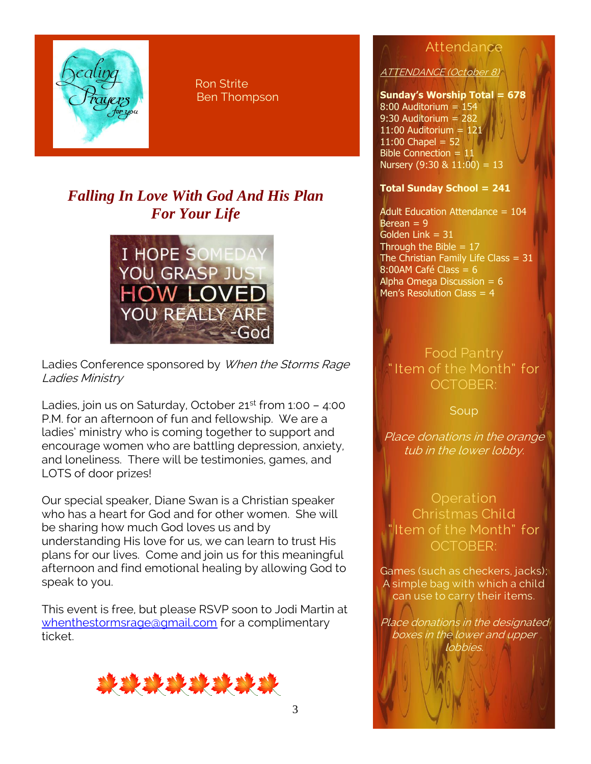

 Ron Strite Ben Thompson

# *Falling In Love With God And His Plan For Your Life*



Ladies Conference sponsored by When the Storms Rage Ladies Ministry

Ladies, join us on Saturday, October  $21^{st}$  from 1:00 - 4:00 P.M. for an afternoon of fun and fellowship. We are a ladies' ministry who is coming together to support and encourage women who are battling depression, anxiety, and loneliness. There will be testimonies, games, and LOTS of door prizes!

Our special speaker, Diane Swan is a Christian speaker who has a heart for God and for other women. She will be sharing how much God loves us and by understanding His love for us, we can learn to trust His plans for our lives. Come and join us for this meaningful afternoon and find emotional healing by allowing God to speak to you.

This event is free, but please RSVP soon to Jodi Martin at [whenthestormsrage@gmail.com](mailto:whenthestormsrage@gmail.com) for a complimentary ticket.



# Attendance

ATTENDANCE (October 8)

### **Sunday's Worship Total = 678**

8:00 Auditorium = 154 9:30 Auditorium = 282 11:00 Auditorium  $= 121$  $11:00$  Chapel = 52 Bible Connection = 11 Nursery  $(9:30 \& 11:00) = 13$ 

### **Total Sunday School = 241**

Adult Education Attendance = 104 Berean  $= 9$ Golden Link  $= 31$ Through the Bible  $= 17$ The Christian Family Life Class  $= 31$  $8:00$ AM Café Class = 6 Alpha Omega Discussion =  $6$ Men's Resolution Class  $= 4$ 

## Food Pantry " Item of the Month" for OCTOBER:

Soup

Place donations in the orange tub in the lower lobby.

**Operation** Christmas Child " Item of the Month" for OCTOBER:

Games (such as checkers, jacks); A simple bag with which a child can use to carry their items.

Place donations in the designated boxes in the lower and upper lobbies.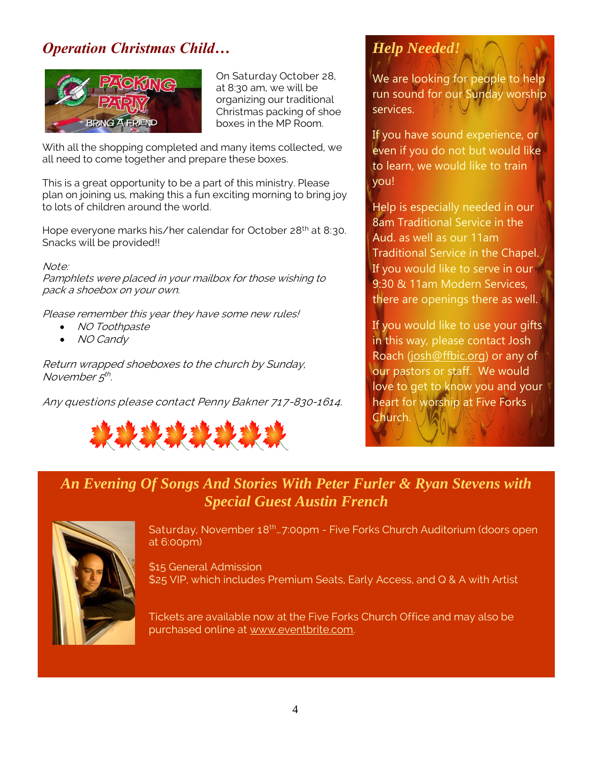# *Operation Christmas Child…*



On Saturday October 28, at 8:30 am, we will be organizing our traditional Christmas packing of shoe boxes in the MP Room.

With all the shopping completed and many items collected, we all need to come together and prepare these boxes.

This is a great opportunity to be a part of this ministry. Please plan on joining us, making this a fun exciting morning to bring joy to lots of children around the world.

Hope everyone marks his/her calendar for October 28<sup>th</sup> at 8:30. Snacks will be provided!!

#### Note:

Pamphlets were placed in your mailbox for those wishing to pack a shoebox on your own.

Please remember this year they have some new rules!

- NO Toothpaste
- NO Candy

Return wrapped shoeboxes to the church by Sunday, November 5<sup>th</sup>.

Any questions please contact Penny Bakner 717-830-1614.



# *Help Needed!*

We are looking for people to help run sound for our Sunday worship services.

If you have sound experience, or even if you do not but would like to learn, we would like to train you!

Help is especially needed in our 8am Traditional Service in the Aud. as well as our 11am Traditional Service in the Chapel. If you would like to serve in our 9:30 & 11am Modern Services, there are openings there as well.

If you would like to use your gifts in this way, please contact Josh Roach [\(josh@ffbic.org\)](mailto:josh@ffbic.org) or any of our pastors or staff. We would love to get to know you and your heart for worship at Five Forks Church.

## *An Evening Of Songs And Stories With Peter Furler & Ryan Stevens with Special Guest Austin French*



Saturday, November 18<sup>th</sup>...7:00pm - Five Forks Church Auditorium (doors open at 6:00pm)

\$15 General Admission \$25 VIP, which includes Premium Seats, Early Access, and Q & A with Artist

Tickets are available now at the Five Forks Church Office and may also be purchased online at [www.eventbrite.com.](http://www.eventbrite.com/)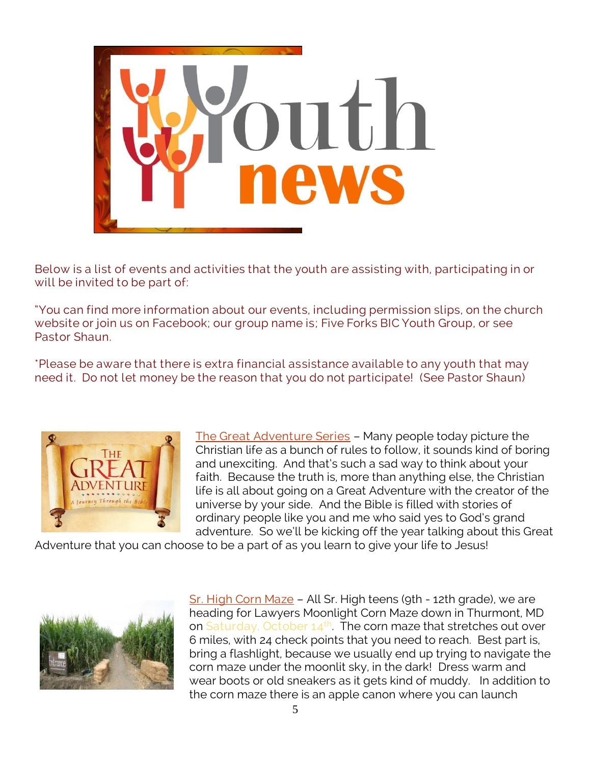

Below is a list of events and activities that the youth are assisting with, participating in or will be invited to be part of:

"You can find more information about our events, including permission slips, on the church website or join us on Facebook; our group name is; Five Forks BIC Youth Group, or see Pastor Shaun.

\*Please be aware that there is extra financial assistance available to any youth that may need it. Do not let money be the reason that you do not participate! (See Pastor Shaun)



The Great Adventure Series – Many people today picture the Christian life as a bunch of rules to follow, it sounds kind of boring and unexciting. And that's such a sad way to think about your faith. Because the truth is, more than anything else, the Christian life is all about going on a Great Adventure with the creator of the universe by your side. And the Bible is filled with stories of ordinary people like you and me who said yes to God's grand adventure. So we'll be kicking off the year talking about this Great

Adventure that you can choose to be a part of as you learn to give your life to Jesus!



Sr. High Corn Maze - All Sr. High teens (9th - 12th grade), we are heading for Lawyers Moonlight Corn Maze down in Thurmont, MD on Saturday, October 14<sup>th</sup>. The corn maze that stretches out over 6 miles, with 24 check points that you need to reach. Best part is, bring a flashlight, because we usually end up trying to navigate the corn maze under the moonlit sky, in the dark! Dress warm and wear boots or old sneakers as it gets kind of muddy. In addition to the corn maze there is an apple canon where you can launch